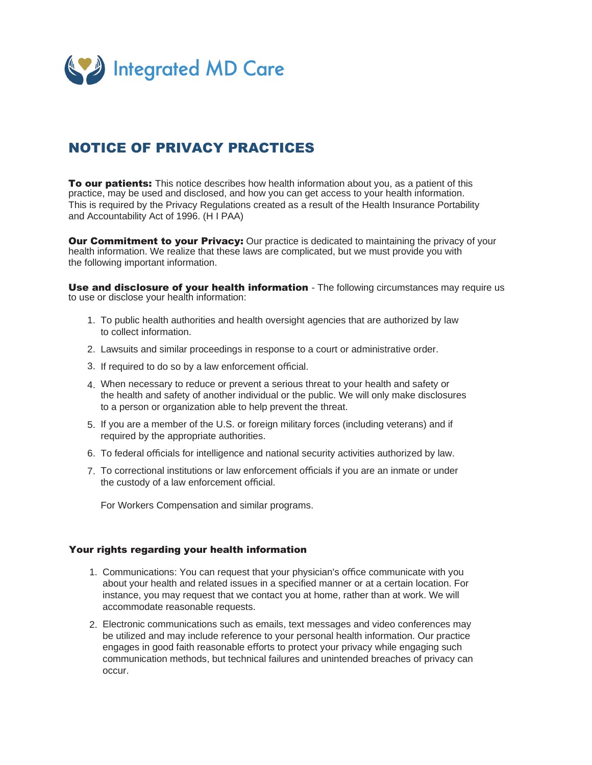

## NOTICE OF PRIVACY PRACTICES

**To our patients:** This notice describes how health information about you, as a patient of this practice, may be used and disclosed, and how you can get access to your health information. This is required by the Privacy Regulations created as a result of the Health Insurance Portability and Accountability Act of 1996. (H I PAA)

**Our Commitment to your Privacy:** Our practice is dedicated to maintaining the privacy of your health information. We realize that these laws are complicated, but we must provide you with the following important information.

Use and disclosure of your health information - The following circumstances may require us to use or disclose your health information:

- 1. To public health authorities and health oversight agencies that are authorized by law to collect information.
- Lawsuits and similar proceedings in response to a court or administrative order. 2.
- 3. If required to do so by a law enforcement official.
- When necessary to reduce or prevent a serious threat to your health and safety or 4. the health and safety of another individual or the public. We will only make disclosures to a person or organization able to help prevent the threat.
- 5. If you are a member of the U.S. or foreign military forces (including veterans) and if required by the appropriate authorities.
- 6. To federal officials for intelligence and national security activities authorized by law.
- 7. To correctional institutions or law enforcement officials if you are an inmate or under the custody of a law enforcement official.

For Workers Compensation and similar programs.

## Your rights regarding your health information

- 1. Communications: You can request that your physician's office communicate with you about your health and related issues in a specified manner or at a certain location. For instance, you may request that we contact you at home, rather than at work. We will accommodate reasonable requests.
- Electronic communications such as emails, text messages and video conferences may 2.be utilized and may include reference to your personal health information. Our practice engages in good faith reasonable efforts to protect your privacy while engaging such communication methods, but technical failures and unintended breaches of privacy can occur.